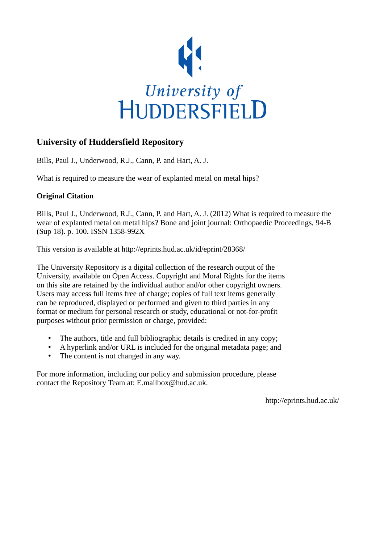

## **University of Huddersfield Repository**

Bills, Paul J., Underwood, R.J., Cann, P. and Hart, A. J.

What is required to measure the wear of explanted metal on metal hips?

## **Original Citation**

Bills, Paul J., Underwood, R.J., Cann, P. and Hart, A. J. (2012) What is required to measure the wear of explanted metal on metal hips? Bone and joint journal: Orthopaedic Proceedings, 94-B (Sup 18). p. 100. ISSN 1358-992X

This version is available at http://eprints.hud.ac.uk/id/eprint/28368/

The University Repository is a digital collection of the research output of the University, available on Open Access. Copyright and Moral Rights for the items on this site are retained by the individual author and/or other copyright owners. Users may access full items free of charge; copies of full text items generally can be reproduced, displayed or performed and given to third parties in any format or medium for personal research or study, educational or not-for-profit purposes without prior permission or charge, provided:

- The authors, title and full bibliographic details is credited in any copy;
- A hyperlink and/or URL is included for the original metadata page; and
- The content is not changed in any way.

For more information, including our policy and submission procedure, please contact the Repository Team at: E.mailbox@hud.ac.uk.

http://eprints.hud.ac.uk/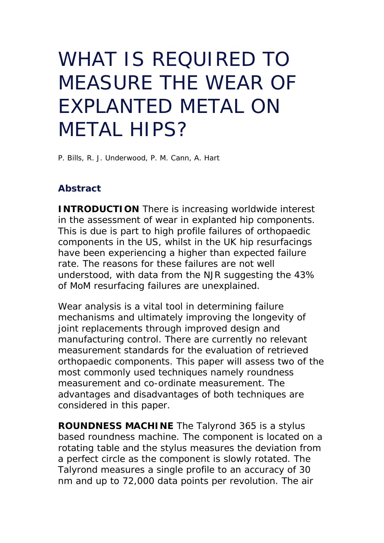## WHAT IS REQUIRED TO MEASURE THE WEAR OF EXPLANTED METAL ON METAL HIPS?

P. Bills, R. J. Underwood, P. M. Cann, A. Hart

## **Abstract**

**INTRODUCTION** There is increasing worldwide interest in the assessment of wear in explanted hip components. This is due is part to high profile failures of orthopaedic components in the US, whilst in the UK hip resurfacings have been experiencing a higher than expected failure rate. The reasons for these failures are not well understood, with data from the NJR suggesting the 43% of MoM resurfacing failures are unexplained.

Wear analysis is a vital tool in determining failure mechanisms and ultimately improving the longevity of joint replacements through improved design and manufacturing control. There are currently no relevant measurement standards for the evaluation of retrieved orthopaedic components. This paper will assess two of the most commonly used techniques namely roundness measurement and co-ordinate measurement. The advantages and disadvantages of both techniques are considered in this paper.

**ROUNDNESS MACHINE** The Talyrond 365 is a stylus based roundness machine. The component is located on a rotating table and the stylus measures the deviation from a perfect circle as the component is slowly rotated. The Talyrond measures a single profile to an accuracy of 30 nm and up to 72,000 data points per revolution. The air